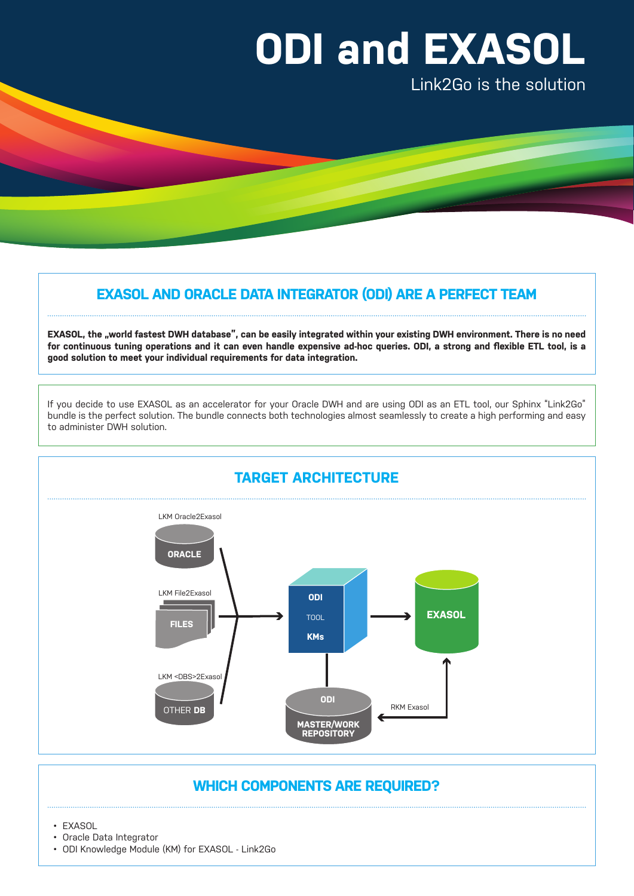# **ODI and EXASOL**

Link2Go is the solution

# **EXASOL AND ORACLE DATA INTEGRATOR (ODI) ARE A PERFECT TEAM**

EXASOL, the "world fastest DWH database", can be easily integrated within your existing DWH environment. There is no need **for continuous tuning operations and it can even handle expensive ad-hoc queries. ODI, a strong and flexible ETL tool, is a good solution to meet your individual requirements for data integration.** 

If you decide to use EXASOL as an accelerator for your Oracle DWH and are using ODI as an ETL tool, our Sphinx "Link2Go" bundle is the perfect solution. The bundle connects both technologies almost seamlessly to create a high performing and easy to administer DWH solution.



## **WHICH COMPONENTS ARE REQUIRED?**

• EXASOL

- Oracle Data Integrator
- ODI Knowledge Module (KM) for EXASOL Link2Go